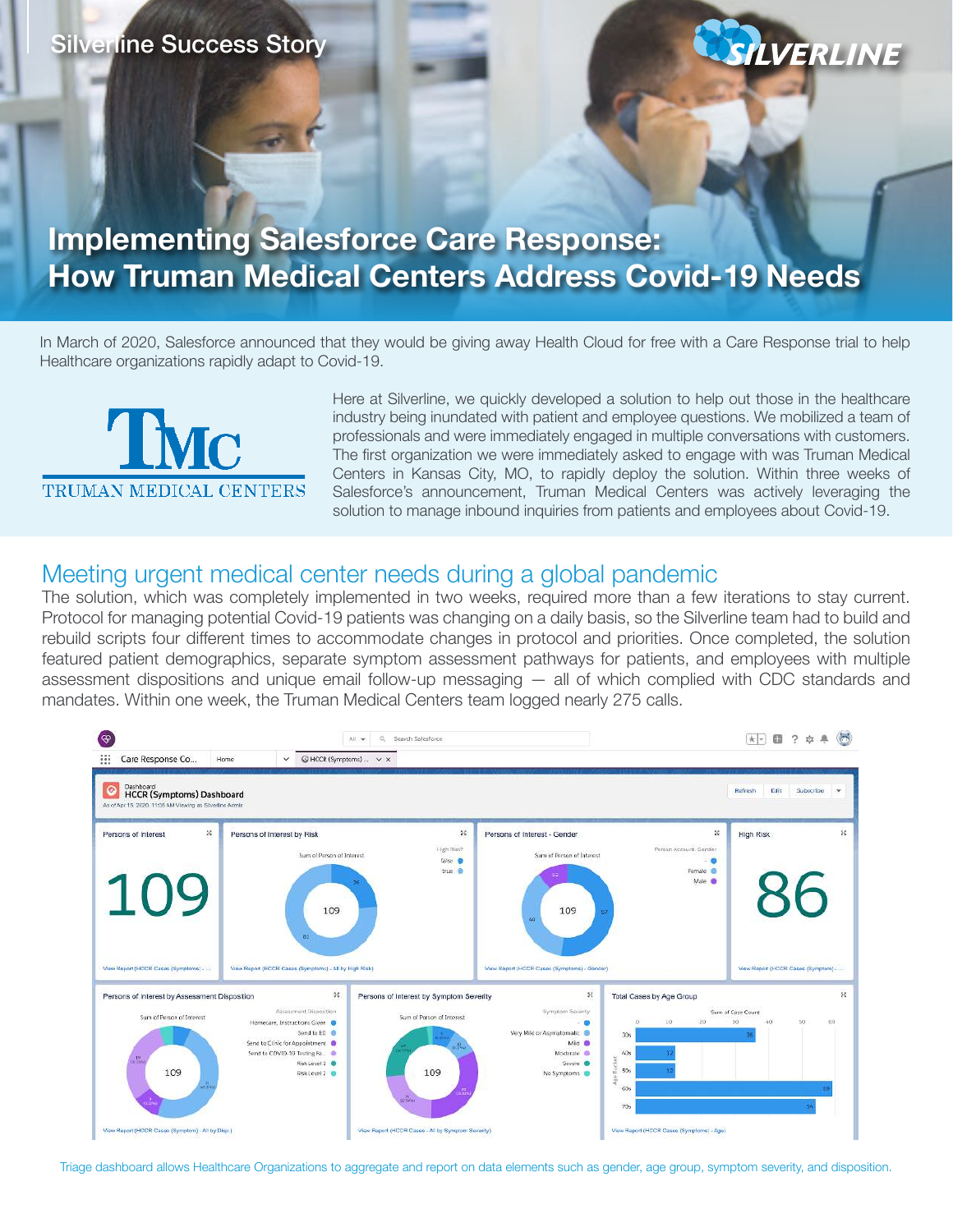### Silverline Success Story

# **Implementing Salesforce Care Response: How Truman Medical Centers Address Covid-19 Needs**

In March of 2020, Salesforce announced that they would be giving away Health Cloud for free with a Care Response trial to help Healthcare organizations rapidly adapt to Covid-19.



Here at Silverline, we quickly developed a solution to help out those in the healthcare industry being inundated with patient and employee questions. We mobilized a team of professionals and were immediately engaged in multiple conversations with customers. The first organization we were immediately asked to engage with was Truman Medical Centers in Kansas City, MO, to rapidly deploy the solution. Within three weeks of Salesforce's announcement, Truman Medical Centers was actively leveraging the solution to manage inbound inquiries from patients and employees about Covid-19.

**LVERLINE** 

### Meeting urgent medical center needs during a global pandemic

The solution, which was completely implemented in two weeks, required more than a few iterations to stay current. Protocol for managing potential Covid-19 patients was changing on a daily basis, so the Silverline team had to build and rebuild scripts four different times to accommodate changes in protocol and priorities. Once completed, the solution featured patient demographics, separate symptom assessment pathways for patients, and employees with multiple assessment dispositions and unique email follow-up messaging — all of which complied with CDC standards and mandates. Within one week, the Truman Medical Centers team logged nearly 275 calls.



Triage dashboard allows Healthcare Organizations to aggregate and report on data elements such as gender, age group, symptom severity, and disposition.